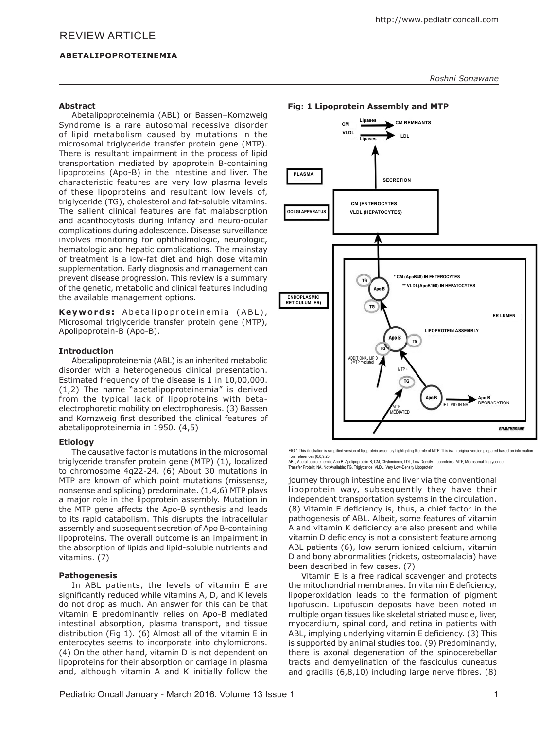# REVIEW ARTICLE

Abetalipoproteinemia (ABL) or Bassen–Kornzweig Syndrome is a rare autosomal recessive disorder of lipid metabolism caused by mutations in the microsomal triglyceride transfer protein gene (MTP). There is resultant impairment in the process of lipid transportation mediated by apoprotein B-containing lipoproteins (Apo-B) in the intestine and liver. The characteristic features are very low plasma levels of these lipoproteins and resultant low levels of, triglyceride (TG), cholesterol and fat-soluble vitamins. The salient clinical features are fat malabsorption and acanthocytosis during infancy and neuro-ocular complications during adolescence. Disease surveillance involves monitoring for ophthalmologic, neurologic, hematologic and hepatic complications. The mainstay of treatment is a low-fat diet and high dose vitamin supplementation. Early diagnosis and management can prevent disease progression. This review is a summary of the genetic, metabolic and clinical features including the available management options.

Keywords: Abetalipoproteinemia (ABL), Microsomal triglyceride transfer protein gene (MTP), Apolipoprotein-B (Apo-B).

#### **Introduction**

Abetalipoproteinemia (ABL) is an inherited metabolic disorder with a heterogeneous clinical presentation. Estimated frequency of the disease is 1 in 10,00,000. (1,2) The name "abetalipoproteinemia" is derived from the typical lack of lipoproteins with betaelectrophoretic mobility on electrophoresis. (3) Bassen and Kornzweig first described the clinical features of abetalipoproteinemia in 1950. (4,5)

#### **Etiology**

The causative factor is mutations in the microsomal triglyceride transfer protein gene (MTP) (1), localized to chromosome 4q22-24. (6) About 30 mutations in MTP are known of which point mutations (missense, nonsense and splicing) predominate. (1,4,6) MTP plays a major role in the lipoprotein assembly. Mutation in the MTP gene affects the Apo-B synthesis and leads to its rapid catabolism. This disrupts the intracellular assembly and subsequent secretion of Apo B-containing lipoproteins. The overall outcome is an impairment in the absorption of lipids and lipid-soluble nutrients and vitamins. (7)

#### **Pathogenesis**

In ABL patients, the levels of vitamin E are significantly reduced while vitamins A, D, and K levels do not drop as much. An answer for this can be that vitamin E predominantly relies on Apo-B mediated intestinal absorption, plasma transport, and tissue distribution (Fig 1). (6) Almost all of the vitamin E in enterocytes seems to incorporate into chylomicrons. (4) On the other hand, vitamin D is not dependent on lipoproteins for their absorption or carriage in plasma and, although vitamin A and K initially follow the *Roshni Sonawane*

#### **Fig: 1 Lipoprotein Assembly and MTP**



FIG:1 This illustration is simplified version of lipoprotein assembly highlighting the role of MTP. This is an original version prepared based on information from references (6,8,9,23)<br>ARI Abetalipoproteinemia

ABL, Abetalipoproteinemia; Аро В, Apolipoprotein-B; CM, Chylomicron; LDL, Low-Density Lipoproteins; MTP, Microsomal Triglyceride<br>Transfer Protein; NA, Not Available; TG, Triglyceride; VLDL, Very Low-Density Lipoprotein

journey through intestine and liver via the conventional lipoprotein way, subsequently they have their independent transportation systems in the circulation. (8) Vitamin E deficiency is, thus, a chief factor in the pathogenesis of ABL. Albeit, some features of vitamin A and vitamin K deficiency are also present and while vitamin D deficiency is not a consistent feature among ABL patients (6), low serum ionized calcium, vitamin D and bony abnormalities (rickets, osteomalacia) have been described in few cases. (7)

Vitamin E is a free radical scavenger and protects the mitochondrial membranes. In vitamin E deficiency, lipoperoxidation leads to the formation of pigment lipofuscin. Lipofuscin deposits have been noted in multiple organ tissues like skeletal striated muscle, liver, myocardium, spinal cord, and retina in patients with ABL, implying underlying vitamin E deficiency. (3) This is supported by animal studies too. (9) Predominantly, there is axonal degeneration of the spinocerebellar tracts and demyelination of the fasciculus cuneatus and gracilis (6,8,10) including large nerve fibres. (8)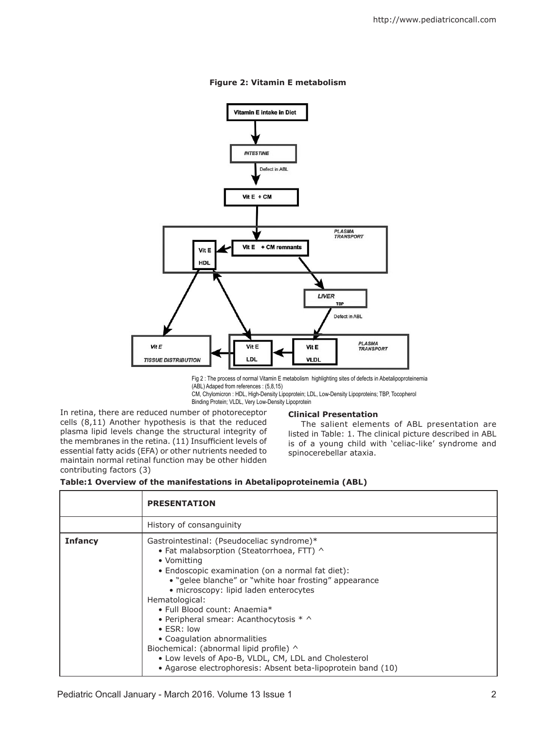

# **Figure 2: Vitamin E metabolism**

Fig 2 : The process of normal Vitamin E metabolism highlighting sites of defects in Abetalipoproteinemia (ABL) Adaped from references : (5,8,15)

CM, Chylomicron : HDL, High-Density Lipoprotein; LDL, Low-Density Lipoproteins; TBP, Tocopherol Binding Protein; VLDL, Very Low-Density Lipoprotein

In retina, there are reduced number of photoreceptor cells (8,11) Another hypothesis is that the reduced plasma lipid levels change the structural integrity of the membranes in the retina. (11) Insufficient levels of essential fatty acids (EFA) or other nutrients needed to maintain normal retinal function may be other hidden contributing factors (3)

# **Clinical Presentation**

The salient elements of ABL presentation are listed in Table: 1. The clinical picture described in ABL is of a young child with 'celiac-like' syndrome and spinocerebellar ataxia.

|  | Table:1 Overview of the manifestations in Abetalipoproteinemia (ABL) |  |  |
|--|----------------------------------------------------------------------|--|--|
|  |                                                                      |  |  |

|                | <b>PRESENTATION</b>                                                                                                                                                                                                                                                                                                                                                                                                                                                                                                                                                                     |
|----------------|-----------------------------------------------------------------------------------------------------------------------------------------------------------------------------------------------------------------------------------------------------------------------------------------------------------------------------------------------------------------------------------------------------------------------------------------------------------------------------------------------------------------------------------------------------------------------------------------|
|                | History of consanguinity                                                                                                                                                                                                                                                                                                                                                                                                                                                                                                                                                                |
| <b>Infancy</b> | Gastrointestinal: (Pseudoceliac syndrome)*<br>• Fat malabsorption (Steatorrhoea, FTT) ^<br>• Vomitting<br>• Endoscopic examination (on a normal fat diet):<br>• "gelee blanche" or "white hoar frosting" appearance<br>· microscopy: lipid laden enterocytes<br>Hematological:<br>• Full Blood count: Anaemia*<br>• Peripheral smear: Acanthocytosis $* \wedge$<br>$\bullet$ ESR: low<br>• Coagulation abnormalities<br>Biochemical: (abnormal lipid profile) ^<br>• Low levels of Apo-B, VLDL, CM, LDL and Cholesterol<br>• Agarose electrophoresis: Absent beta-lipoprotein band (10) |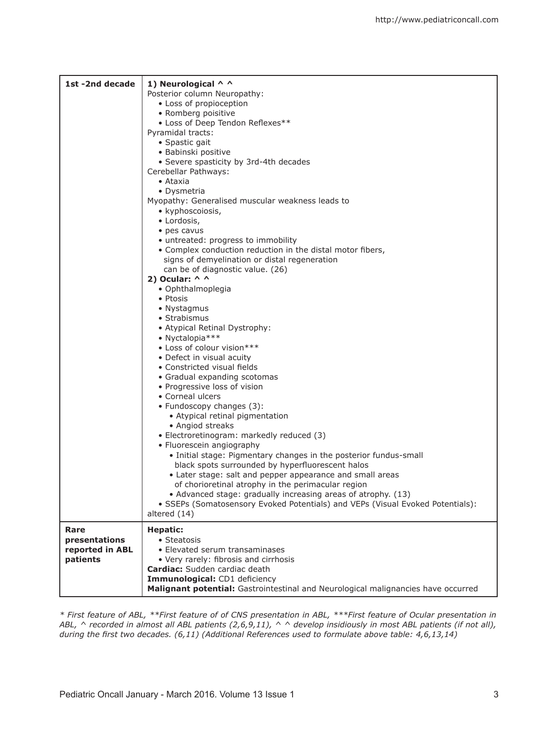| 1st-2nd decade                                       | 1) Neurological ^ ^<br>Posterior column Neuropathy:<br>• Loss of propioception<br>• Romberg poisitive<br>• Loss of Deep Tendon Reflexes**<br>Pyramidal tracts:<br>• Spastic gait<br>• Babinski positive<br>• Severe spasticity by 3rd-4th decades<br>Cerebellar Pathways:<br>• Ataxia<br>• Dysmetria<br>Myopathy: Generalised muscular weakness leads to<br>• kyphoscoiosis,<br>• Lordosis,<br>• pes cavus<br>• untreated: progress to immobility<br>• Complex conduction reduction in the distal motor fibers,<br>signs of demyelination or distal regeneration<br>can be of diagnostic value. (26)<br>2) Ocular: $\wedge$ $\wedge$<br>• Ophthalmoplegia<br>• Ptosis<br>• Nystagmus<br>• Strabismus<br>• Atypical Retinal Dystrophy:<br>• Nyctalopia ***<br>• Loss of colour vision***<br>• Defect in visual acuity<br>• Constricted visual fields<br>• Gradual expanding scotomas<br>• Progressive loss of vision<br>• Corneal ulcers<br>• Fundoscopy changes (3):<br>• Atypical retinal pigmentation<br>• Angiod streaks<br>• Electroretinogram: markedly reduced (3)<br>• Fluorescein angiography<br>• Initial stage: Pigmentary changes in the posterior fundus-small<br>black spots surrounded by hyperfluorescent halos |
|------------------------------------------------------|--------------------------------------------------------------------------------------------------------------------------------------------------------------------------------------------------------------------------------------------------------------------------------------------------------------------------------------------------------------------------------------------------------------------------------------------------------------------------------------------------------------------------------------------------------------------------------------------------------------------------------------------------------------------------------------------------------------------------------------------------------------------------------------------------------------------------------------------------------------------------------------------------------------------------------------------------------------------------------------------------------------------------------------------------------------------------------------------------------------------------------------------------------------------------------------------------------------------------------|
|                                                      | • Later stage: salt and pepper appearance and small areas<br>of chorioretinal atrophy in the perimacular region<br>• Advanced stage: gradually increasing areas of atrophy. (13)<br>• SSEPs (Somatosensory Evoked Potentials) and VEPs (Visual Evoked Potentials):<br>altered (14)                                                                                                                                                                                                                                                                                                                                                                                                                                                                                                                                                                                                                                                                                                                                                                                                                                                                                                                                             |
| Rare<br>presentations<br>reported in ABL<br>patients | <b>Hepatic:</b><br>• Steatosis<br>• Elevated serum transaminases<br>• Very rarely: fibrosis and cirrhosis<br>Cardiac: Sudden cardiac death<br>Immunological: CD1 deficiency<br>Malignant potential: Gastrointestinal and Neurological malignancies have occurred                                                                                                                                                                                                                                                                                                                                                                                                                                                                                                                                                                                                                                                                                                                                                                                                                                                                                                                                                               |

*\* First feature of ABL, \*\*First feature of of CNS presentation in ABL, \*\*\*First feature of Ocular presentation in ABL, ^ recorded in almost all ABL patients (2,6,9,11), ^ ^ develop insidiously in most ABL patients (if not all), during the first two decades. (6,11) (Additional References used to formulate above table: 4,6,13,14)*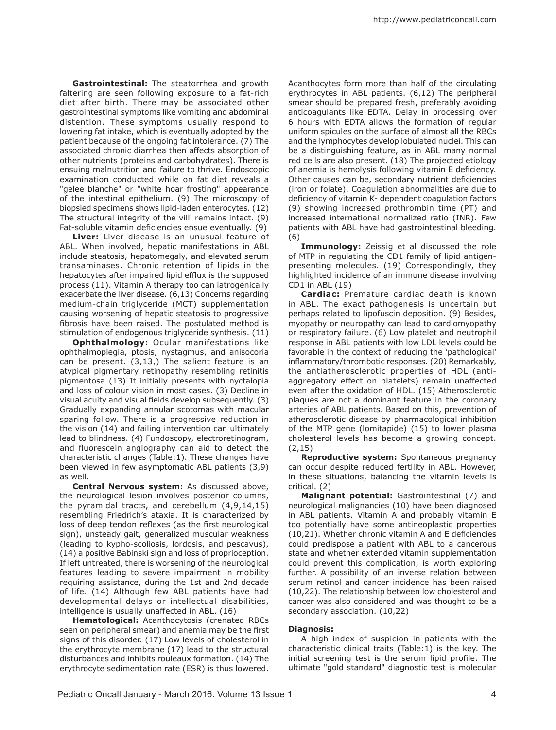**Gastrointestinal:** The steatorrhea and growth faltering are seen following exposure to a fat-rich diet after birth. There may be associated other gastrointestinal symptoms like vomiting and abdominal distention. These symptoms usually respond to lowering fat intake, which is eventually adopted by the patient because of the ongoing fat intolerance. (7) The associated chronic diarrhea then affects absorption of other nutrients (proteins and carbohydrates). There is ensuing malnutrition and failure to thrive. Endoscopic examination conducted while on fat diet reveals a "gelee blanche" or "white hoar frosting" appearance of the intestinal epithelium. (9) The microscopy of biopsied specimens shows lipid-laden enterocytes. (12) The structural integrity of the villi remains intact. (9) Fat-soluble vitamin deficiencies ensue eventually. (9)

**Liver:** Liver disease is an unusual feature of ABL. When involved, hepatic manifestations in ABL include steatosis, hepatomegaly, and elevated serum transaminases. Chronic retention of lipids in the hepatocytes after impaired lipid efflux is the supposed process (11). Vitamin A therapy too can iatrogenically exacerbate the liver disease. (6,13) Concerns regarding medium-chain triglyceride (MCT) supplementation causing worsening of hepatic steatosis to progressive fibrosis have been raised. The postulated method is stimulation of endogenous triglycéride synthesis. (11)

**Ophthalmology:** Ocular manifestations like ophthalmoplegia, ptosis, nystagmus, and anisocoria can be present. (3,13,) The salient feature is an atypical pigmentary retinopathy resembling retinitis pigmentosa (13) It initially presents with nyctalopia and loss of colour vision in most cases. (3) Decline in visual acuity and visual fields develop subsequently. (3) Gradually expanding annular scotomas with macular sparing follow. There is a progressive reduction in the vision (14) and failing intervention can ultimately lead to blindness. (4) Fundoscopy, electroretinogram, and fluorescein angiography can aid to detect the characteristic changes (Table:1). These changes have been viewed in few asymptomatic ABL patients (3,9) as well.

**Central Nervous system:** As discussed above, the neurological lesion involves posterior columns, the pyramidal tracts, and cerebellum (4,9,14,15) resembling Friedrich's ataxia. It is characterized by loss of deep tendon reflexes (as the first neurological sign), unsteady gait, generalized muscular weakness (leading to kypho-scoliosis, lordosis, and pescavus), (14) a positive Babinski sign and loss of proprioception. If left untreated, there is worsening of the neurological features leading to severe impairment in mobility requiring assistance, during the 1st and 2nd decade of life. (14) Although few ABL patients have had developmental delays or intellectual disabilities, intelligence is usually unaffected in ABL. (16)

**Hematological:** Acanthocytosis (crenated RBCs seen on peripheral smear) and anemia may be the first signs of this disorder. (17) Low levels of cholesterol in the erythrocyte membrane (17) lead to the structural disturbances and inhibits rouleaux formation. (14) The erythrocyte sedimentation rate (ESR) is thus lowered.

Acanthocytes form more than half of the circulating erythrocytes in ABL patients. (6,12) The peripheral smear should be prepared fresh, preferably avoiding anticoagulants like EDTA. Delay in processing over 6 hours with EDTA allows the formation of regular uniform spicules on the surface of almost all the RBCs and the lymphocytes develop lobulated nuclei. This can be a distinguishing feature, as in ABL many normal red cells are also present. (18) The projected etiology of anemia is hemolysis following vitamin E deficiency. Other causes can be, secondary nutrient deficiencies (iron or folate). Coagulation abnormalities are due to deficiency of vitamin K- dependent coagulation factors (9) showing increased prothrombin time (PT) and increased international normalized ratio (INR). Few patients with ABL have had gastrointestinal bleeding. (6)

**Immunology:** Zeissig et al discussed the role of MTP in regulating the CD1 family of lipid antigenpresenting molecules. (19) Correspondingly, they highlighted incidence of an immune disease involving CD1 in ABL (19)

**Cardiac:** Premature cardiac death is known in ABL. The exact pathogenesis is uncertain but perhaps related to lipofuscin deposition. (9) Besides, myopathy or neuropathy can lead to cardiomyopathy or respiratory failure. (6) Low platelet and neutrophil response in ABL patients with low LDL levels could be favorable in the context of reducing the 'pathological' inflammatory/thrombotic responses. (20) Remarkably, the antiatherosclerotic properties of HDL (antiaggregatory effect on platelets) remain unaffected even after the oxidation of HDL. (15) Atherosclerotic plaques are not a dominant feature in the coronary arteries of ABL patients. Based on this, prevention of atherosclerotic disease by pharmacological inhibition of the MTP gene (lomitapide) (15) to lower plasma cholesterol levels has become a growing concept. (2,15)

**Reproductive system:** Spontaneous pregnancy can occur despite reduced fertility in ABL. However, in these situations, balancing the vitamin levels is critical. (2)

**Malignant potential:** Gastrointestinal (7) and neurological malignancies (10) have been diagnosed in ABL patients. Vitamin A and probably vitamin E too potentially have some antineoplastic properties (10,21). Whether chronic vitamin A and E deficiencies could predispose a patient with ABL to a cancerous state and whether extended vitamin supplementation could prevent this complication, is worth exploring further. A possibility of an inverse relation between serum retinol and cancer incidence has been raised (10,22). The relationship between low cholesterol and cancer was also considered and was thought to be a secondary association. (10,22)

# **Diagnosis:**

A high index of suspicion in patients with the characteristic clinical traits (Table:1) is the key. The initial screening test is the serum lipid profile. The ultimate "gold standard" diagnostic test is molecular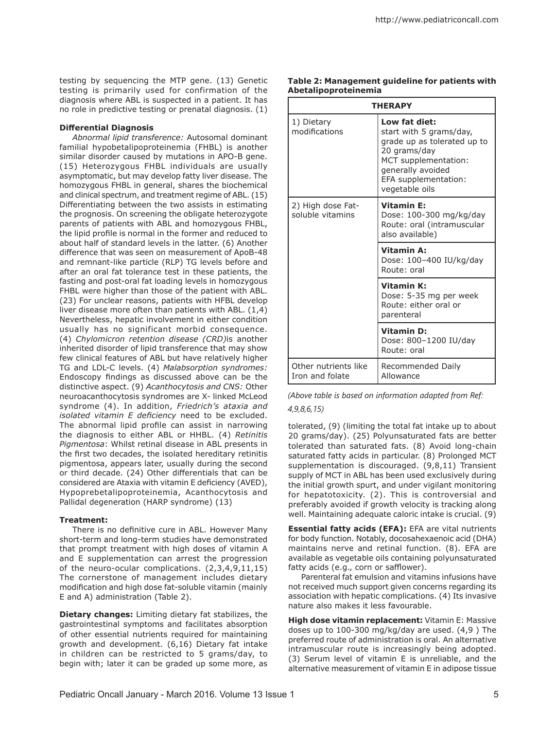testing by sequencing the MTP gene. (13) Genetic testing is primarily used for confirmation of the diagnosis where ABL is suspected in a patient. It has no role in predictive testing or prenatal diagnosis. (1)

#### **Differential Diagnosis**

*Abnormal lipid transference:* Autosomal dominant familial hypobetalipoproteinemia (FHBL) is another similar disorder caused by mutations in APO-B gene. (15) Heterozygous FHBL individuals are usually asymptomatic, but may develop fatty liver disease. The homozygous FHBL in general, shares the biochemical and clinical spectrum, and treatment regime of ABL. (15) Differentiating between the two assists in estimating the prognosis. On screening the obligate heterozygote parents of patients with ABL and homozygous FHBL, the lipid profile is normal in the former and reduced to about half of standard levels in the latter. (6) Another difference that was seen on measurement of ApoB-48 and remnant-like particle (RLP) TG levels before and after an oral fat tolerance test in these patients, the fasting and post-oral fat loading levels in homozygous FHBL were higher than those of the patient with ABL. (23) For unclear reasons, patients with HFBL develop liver disease more often than patients with ABL. (1,4) Nevertheless, hepatic involvement in either condition usually has no significant morbid consequence. (4) *Chylomicron retention disease (CRD)*is another inherited disorder of lipid transference that may show few clinical features of ABL but have relatively higher TG and LDL-C levels. (4) *Malabsorption syndromes:*  Endoscopy findings as discussed above can be the distinctive aspect. (9) *Acanthocytosis and CNS:* Other neuroacanthocytosis syndromes are X- linked McLeod syndrome (4). In addition, *Friedrich's ataxia and isolated vitamin E deficiency* need to be excluded. The abnormal lipid profile can assist in narrowing the diagnosis to either ABL or HHBL. (4) *Retinitis Pigmentosa*: Whilst retinal disease in ABL presents in the first two decades, the isolated hereditary retinitis pigmentosa, appears later, usually during the second or third decade. (24) Other differentials that can be considered are Ataxia with vitamin E deficiency (AVED), Hypoprebetalipoproteinemia, Acanthocytosis and Pallidal degeneration (HARP syndrome) (13)

# **Treatment:**

There is no definitive cure in ABL. However Many short-term and long-term studies have demonstrated that prompt treatment with high doses of vitamin A and E supplementation can arrest the progression of the neuro-ocular complications. (2,3,4,9,11,15) The cornerstone of management includes dietary modification and high dose fat-soluble vitamin (mainly E and A) administration (Table 2).

**Dietary changes:** Limiting dietary fat stabilizes, the gastrointestinal symptoms and facilitates absorption of other essential nutrients required for maintaining growth and development. (6,16) Dietary fat intake in children can be restricted to 5 grams/day, to begin with; later it can be graded up some more, as

**Table 2: Management guideline for patients with Abetalipoproteinemia**

| <b>THERAPY</b>                          |                                                                                                                                                                                |  |  |  |
|-----------------------------------------|--------------------------------------------------------------------------------------------------------------------------------------------------------------------------------|--|--|--|
| 1) Dietary<br>modifications             | Low fat diet:<br>start with 5 grams/day,<br>grade up as tolerated up to<br>20 grams/day<br>MCT supplementation:<br>generally avoided<br>EFA supplementation:<br>vegetable oils |  |  |  |
| 2) High dose Fat-<br>soluble vitamins   | <b>Vitamin E:</b><br>Dose: 100-300 mg/kg/day<br>Route: oral (intramuscular<br>also available)                                                                                  |  |  |  |
|                                         | <b>Vitamin A:</b><br>Dose: 100-400 IU/kg/day<br>Route: oral                                                                                                                    |  |  |  |
|                                         | <b>Vitamin K:</b><br>Dose: 5-35 mg per week<br>Route: either oral or<br>parenteral                                                                                             |  |  |  |
|                                         | <b>Vitamin D:</b><br>Dose: 800-1200 IU/day<br>Route: oral                                                                                                                      |  |  |  |
| Other nutrients like<br>Iron and folate | Recommended Daily<br>Allowance                                                                                                                                                 |  |  |  |

# *(Above table is based on information adapted from Ref: 4,9,8,6,15)*

tolerated, (9) (limiting the total fat intake up to about 20 grams/day). (25) Polyunsaturated fats are better tolerated than saturated fats. (8) Avoid long-chain saturated fatty acids in particular. (8) Prolonged MCT supplementation is discouraged. (9,8,11) Transient supply of MCT in ABL has been used exclusively during the initial growth spurt, and under vigilant monitoring for hepatotoxicity. (2). This is controversial and preferably avoided if growth velocity is tracking along well. Maintaining adequate caloric intake is crucial. (9)

**Essential fatty acids (EFA):** EFA are vital nutrients for body function. Notably, docosahexaenoic acid (DHA) maintains nerve and retinal function. (8). EFA are available as vegetable oils containing polyunsaturated fatty acids (e.g., corn or safflower).

Parenteral fat emulsion and vitamins infusions have not received much support given concerns regarding its association with hepatic complications. (4) Its invasive nature also makes it less favourable.

**High dose vitamin replacement:** Vitamin E: Massive doses up to 100-300 mg/kg/day are used. (4,9 ) The preferred route of administration is oral. An alternative intramuscular route is increasingly being adopted. (3) Serum level of vitamin E is unreliable, and the alternative measurement of vitamin E in adipose tissue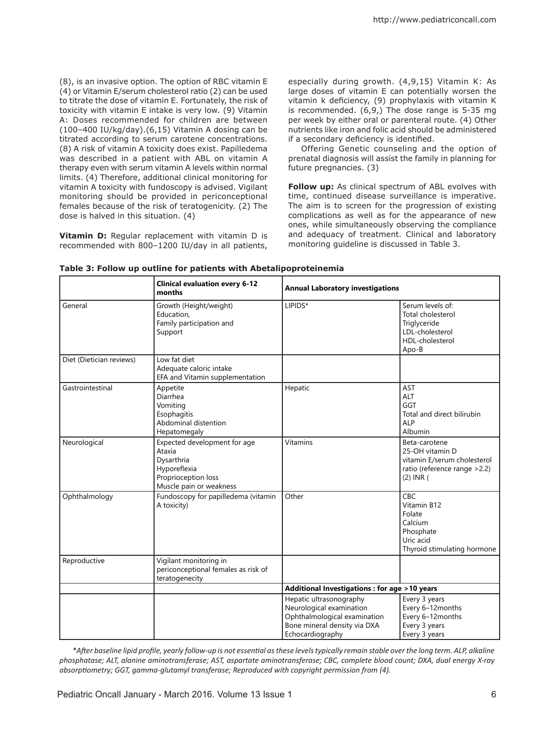(8), is an invasive option. The option of RBC vitamin E (4) or Vitamin E/serum cholesterol ratio (2) can be used to titrate the dose of vitamin E. Fortunately, the risk of toxicity with vitamin E intake is very low. (9) Vitamin A: Doses recommended for children are between (100–400 IU/kg/day).(6,15) Vitamin A dosing can be titrated according to serum carotene concentrations. (8) A risk of vitamin A toxicity does exist. Papilledema was described in a patient with ABL on vitamin A therapy even with serum vitamin A levels within normal limits. (4) Therefore, additional clinical monitoring for vitamin A toxicity with fundoscopy is advised. Vigilant monitoring should be provided in periconceptional females because of the risk of teratogenicity. (2) The dose is halved in this situation. (4)

**Vitamin D:** Regular replacement with vitamin D is recommended with 800–1200 IU/day in all patients,

especially during growth. (4,9,15) Vitamin K: As large doses of vitamin E can potentially worsen the vitamin k deficiency, (9) prophylaxis with vitamin K is recommended. (6,9,) The dose range is 5-35 mg per week by either oral or parenteral route. (4) Other nutrients like iron and folic acid should be administered if a secondary deficiency is identified.

Offering Genetic counseling and the option of prenatal diagnosis will assist the family in planning for future pregnancies. (3)

**Follow up:** As clinical spectrum of ABL evolves with time, continued disease surveillance is imperative. The aim is to screen for the progression of existing complications as well as for the appearance of new ones, while simultaneously observing the compliance and adequacy of treatment. Clinical and laboratory monitoring guideline is discussed in Table 3.

|                          | <b>Clinical evaluation every 6-12</b><br>months                                                                        | <b>Annual Laboratory investigations</b>                                                                                                 |                                                                                                                   |  |  |
|--------------------------|------------------------------------------------------------------------------------------------------------------------|-----------------------------------------------------------------------------------------------------------------------------------------|-------------------------------------------------------------------------------------------------------------------|--|--|
| General                  | Growth (Height/weight)<br>Education,<br>Family participation and<br>Support                                            | LIPIDS*                                                                                                                                 | Serum levels of:<br>Total cholesterol<br>Triglyceride<br>LDL-cholesterol<br>HDL-cholesterol<br>Apo-B              |  |  |
| Diet (Dietician reviews) | Low fat diet<br>Adequate caloric intake<br>EFA and Vitamin supplementation                                             |                                                                                                                                         |                                                                                                                   |  |  |
| Gastrointestinal         | Appetite<br>Diarrhea<br>Vomiting<br>Esophagitis<br>Abdominal distention<br>Hepatomegaly                                | Hepatic                                                                                                                                 | <b>AST</b><br>ALT<br>GGT<br>Total and direct bilirubin<br><b>ALP</b><br>Albumin                                   |  |  |
| Neurological             | Expected development for age<br>Ataxia<br>Dysarthria<br>Hyporeflexia<br>Proprioception loss<br>Muscle pain or weakness | <b>Vitamins</b>                                                                                                                         | Beta-carotene<br>25-OH vitamin D<br>vitamin E/serum cholesterol<br>ratio (reference range > 2.2)<br>$(2)$ INR $($ |  |  |
| Ophthalmology            | Fundoscopy for papilledema (vitamin<br>A toxicity)                                                                     | Other                                                                                                                                   | CBC<br>Vitamin B12<br>Folate<br>Calcium<br>Phosphate<br>Uric acid<br>Thyroid stimulating hormone                  |  |  |
| Reproductive             | Vigilant monitoring in<br>periconceptional females as risk of<br>teratogenecity                                        |                                                                                                                                         |                                                                                                                   |  |  |
|                          |                                                                                                                        | Additional Investigations : for age >10 years                                                                                           |                                                                                                                   |  |  |
|                          |                                                                                                                        | Hepatic ultrasonography<br>Neurological examination<br>Ophthalmological examination<br>Bone mineral density via DXA<br>Echocardiography | Every 3 years<br>Every 6-12months<br>Every 6-12months<br>Every 3 years<br>Every 3 years                           |  |  |

**Table 3: Follow up outline for patients with Abetalipoproteinemia**

*\*After baseline lipid profile, yearly follow-up is not essential as these levels typically remain stable over the long term. ALP, alkaline phosphatase; ALT, alanine aminotransferase; AST, aspartate aminotransferase; CBC, complete blood count; DXA, dual energy X-ray absorptiometry; GGT, gamma-glutamyl transferase; Reproduced with copyright permission from (4).*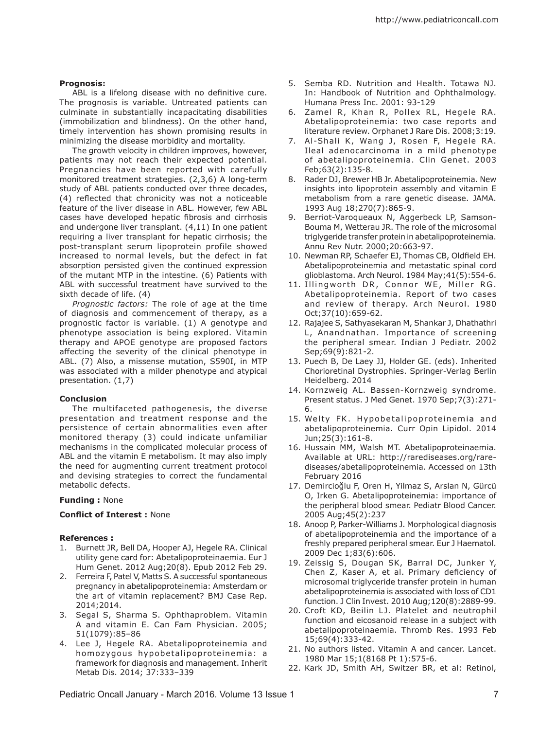### **Prognosis:**

ABL is a lifelong disease with no definitive cure. The prognosis is variable. Untreated patients can culminate in substantially incapacitating disabilities (immobilization and blindness). On the other hand, timely intervention has shown promising results in minimizing the disease morbidity and mortality.

The growth velocity in children improves, however, patients may not reach their expected potential. Pregnancies have been reported with carefully monitored treatment strategies. (2,3,6) A long-term study of ABL patients conducted over three decades, (4) reflected that chronicity was not a noticeable feature of the liver disease in ABL. However, few ABL cases have developed hepatic fibrosis and cirrhosis and undergone liver transplant. (4,11) In one patient requiring a liver transplant for hepatic cirrhosis; the post-transplant serum lipoprotein profile showed increased to normal levels, but the defect in fat absorption persisted given the continued expression of the mutant MTP in the intestine. (6) Patients with ABL with successful treatment have survived to the sixth decade of life. (4)

*Prognostic factors:* The role of age at the time of diagnosis and commencement of therapy, as a prognostic factor is variable. (1) A genotype and phenotype association is being explored. Vitamin therapy and APOE genotype are proposed factors affecting the severity of the clinical phenotype in ABL. (7) Also, a missense mutation, S590I, in MTP was associated with a milder phenotype and atypical presentation. (1,7)

#### **Conclusion**

The multifaceted pathogenesis, the diverse presentation and treatment response and the persistence of certain abnormalities even after monitored therapy (3) could indicate unfamiliar mechanisms in the complicated molecular process of ABL and the vitamin E metabolism. It may also imply the need for augmenting current treatment protocol and devising strategies to correct the fundamental metabolic defects.

#### **Funding :** None

#### **Conflict of Interest :** None

#### **References :**

- 1. Burnett JR, Bell DA, Hooper AJ, Hegele RA. Clinical utility gene card for: Abetalipoproteinaemia. Eur J Hum Genet. 2012 Aug;20(8). Epub 2012 Feb 29.
- 2. Ferreira F, Patel V, Matts S. A successful spontaneous pregnancy in abetalipoproteinemia: Amsterdam or the art of vitamin replacement? BMJ Case Rep. 2014;2014.
- 3. Segal S, Sharma S. Ophthaproblem. Vitamin A and vitamin E. Can Fam Physician. 2005; 51(1079):85–86
- 4. Lee J, Hegele RA. Abetalipoproteinemia and homozygous hypobetalipoproteinemia: a framework for diagnosis and management. Inherit Metab Dis. 2014; 37:333–339
- 5. Semba RD. Nutrition and Health. Totawa NJ. In: Handbook of Nutrition and Ophthalmology. Humana Press Inc. 2001: 93-129
- 6. Zamel R, Khan R, Pollex RL, Hegele RA. Abetalipoproteinemia: two case reports and literature review. Orphanet J Rare Dis. 2008;3:19.
- 7. Al-Shali K, Wang J, Rosen F, Hegele RA. Ileal adenocarcinoma in a mild phenotype of abetalipoproteinemia. Clin Genet. 2003 Feb;63(2):135-8.
- 8. Rader DJ, Brewer HB Jr. Abetalipoproteinemia. New insights into lipoprotein assembly and vitamin E metabolism from a rare genetic disease. JAMA. 1993 Aug 18;270(7):865-9.
- 9. Berriot-Varoqueaux N, Aggerbeck LP, Samson-Bouma M, Wetterau JR. The role of the microsomal triglygeride transfer protein in abetalipoproteinemia. Annu Rev Nutr. 2000;20:663-97.
- 10. Newman RP, Schaefer EJ, Thomas CB, Oldfield EH. Abetalipoproteinemia and metastatic spinal cord glioblastoma. Arch Neurol. 1984 May;41(5):554-6.
- 11. Illingworth DR, Connor WE, Miller RG. Abetalipoproteinemia. Report of two cases and review of therapy. Arch Neurol. 1980 Oct;37(10):659-62.
- 12. Rajajee S, Sathyasekaran M, Shankar J, Dhathathri L, Anandnathan. Importance of screening the peripheral smear. Indian J Pediatr. 2002 Sep;69(9):821-2.
- 13. Puech B, De Laey JJ, Holder GE. (eds). Inherited Chorioretinal Dystrophies. Springer-Verlag Berlin Heidelberg. 2014
- 14. Kornzweig AL. Bassen-Kornzweig syndrome. Present status. J Med Genet. 1970 Sep;7(3):271- 6.
- 15. Welty FK. Hypobetalipoproteinemia and abetalipoproteinemia. Curr Opin Lipidol. 2014 Jun;25(3):161-8.
- 16. Hussain MM, Walsh MT. Abetalipoproteinaemia. Available at URL: http://rarediseases.org/rarediseases/abetalipoproteinemia. Accessed on 13th February 2016
- 17. Demircioğlu F, Oren H, Yilmaz S, Arslan N, Gürcü O, Irken G. Abetalipoproteinemia: importance of the peripheral blood smear. Pediatr Blood Cancer. 2005 Aug;45(2):237
- 18. Anoop P, Parker-Williams J. Morphological diagnosis of abetalipoproteinemia and the importance of a freshly prepared peripheral smear. Eur J Haematol. 2009 Dec 1;83(6):606.
- 19. Zeissig S, Dougan SK, Barral DC, Junker Y, Chen Z, Kaser A, et al. Primary deficiency of microsomal triglyceride transfer protein in human abetalipoproteinemia is associated with loss of CD1 function. J Clin Invest. 2010 Aug;120(8):2889-99.
- 20. Croft KD, Beilin LJ. Platelet and neutrophil function and eicosanoid release in a subject with abetalipoproteinaemia. Thromb Res. 1993 Feb 15;69(4):333-42.
- 21. No authors listed. Vitamin A and cancer. Lancet. 1980 Mar 15;1(8168 Pt 1):575-6.
- 22. Kark JD, Smith AH, Switzer BR, et al: Retinol,